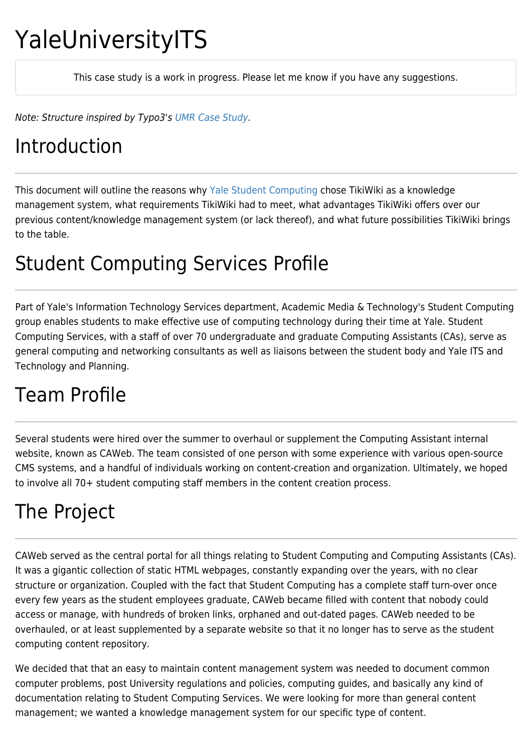# YaleUniversityITS

This case study is a work in progress. Please let me know if you have any suggestions.

Note: Structure inspired by Typo3's [UMR Case Study.](http://typo3.com/University_of_Missou.1384.0.html)

#### Introduction

This document will outline the reasons why [Yale](http://www.yale.edu/) [Student Computing](http://www.yale.edu/sc) chose TikiWiki as a knowledge management system, what requirements TikiWiki had to meet, what advantages TikiWiki offers over our previous content/knowledge management system (or lack thereof), and what future possibilities TikiWiki brings to the table.

## Student Computing Services Profile

Part of Yale's Information Technology Services department, Academic Media & Technology's Student Computing group enables students to make effective use of computing technology during their time at Yale. Student Computing Services, with a staff of over 70 undergraduate and graduate Computing Assistants (CAs), serve as general computing and networking consultants as well as liaisons between the student body and Yale ITS and Technology and Planning.

## Team Profile

Several students were hired over the summer to overhaul or supplement the Computing Assistant internal website, known as CAWeb. The team consisted of one person with some experience with various open-source CMS systems, and a handful of individuals working on content-creation and organization. Ultimately, we hoped to involve all 70+ student computing staff members in the content creation process.

## The Project

CAWeb served as the central portal for all things relating to Student Computing and Computing Assistants (CAs). It was a gigantic collection of static HTML webpages, constantly expanding over the years, with no clear structure or organization. Coupled with the fact that Student Computing has a complete staff turn-over once every few years as the student employees graduate, CAWeb became filled with content that nobody could access or manage, with hundreds of broken links, orphaned and out-dated pages. CAWeb needed to be overhauled, or at least supplemented by a separate website so that it no longer has to serve as the student computing content repository.

We decided that that an easy to maintain content management system was needed to document common computer problems, post University regulations and policies, computing guides, and basically any kind of documentation relating to Student Computing Services. We were looking for more than general content management; we wanted a knowledge management system for our specific type of content.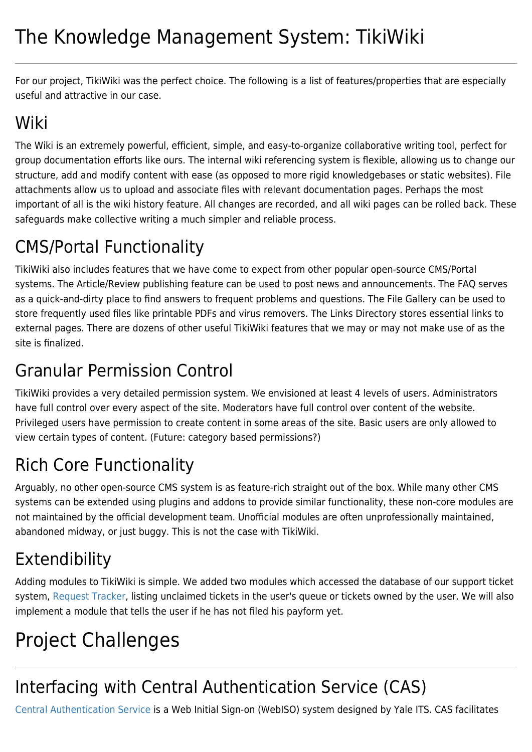For our project, TikiWiki was the perfect choice. The following is a list of features/properties that are especially useful and attractive in our case.

## Wiki

The Wiki is an extremely powerful, efficient, simple, and easy-to-organize collaborative writing tool, perfect for group documentation efforts like ours. The internal wiki referencing system is flexible, allowing us to change our structure, add and modify content with ease (as opposed to more rigid knowledgebases or static websites). File attachments allow us to upload and associate files with relevant documentation pages. Perhaps the most important of all is the wiki history feature. All changes are recorded, and all wiki pages can be rolled back. These safeguards make collective writing a much simpler and reliable process.

## CMS/Portal Functionality

TikiWiki also includes features that we have come to expect from other popular open-source CMS/Portal systems. The Article/Review publishing feature can be used to post news and announcements. The FAQ serves as a quick-and-dirty place to find answers to frequent problems and questions. The File Gallery can be used to store frequently used files like printable PDFs and virus removers. The Links Directory stores essential links to external pages. There are dozens of other useful TikiWiki features that we may or may not make use of as the site is finalized.

#### Granular Permission Control

TikiWiki provides a very detailed permission system. We envisioned at least 4 levels of users. Administrators have full control over every aspect of the site. Moderators have full control over content of the website. Privileged users have permission to create content in some areas of the site. Basic users are only allowed to view certain types of content. (Future: category based permissions?)

## Rich Core Functionality

Arguably, no other open-source CMS system is as feature-rich straight out of the box. While many other CMS systems can be extended using plugins and addons to provide similar functionality, these non-core modules are not maintained by the official development team. Unofficial modules are often unprofessionally maintained, abandoned midway, or just buggy. This is not the case with TikiWiki.

## Extendibility

Adding modules to TikiWiki is simple. We added two modules which accessed the database of our support ticket system, [Request Tracker](http://www.bestpractical.com/rt/), listing unclaimed tickets in the user's queue or tickets owned by the user. We will also implement a module that tells the user if he has not filed his payform yet.

## Project Challenges

## Interfacing with Central Authentication Service (CAS)

[Central Authentication Service](http://www.yale.edu/tp/auth/) is a Web Initial Sign-on (WebISO) system designed by Yale ITS. CAS facilitates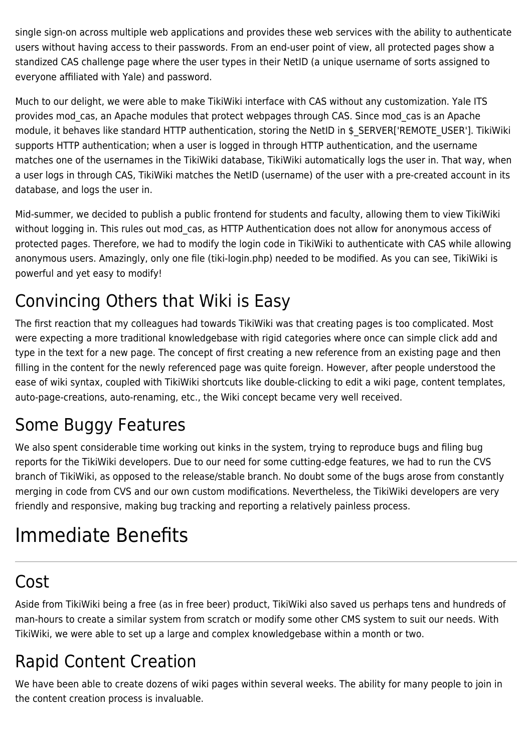single sign-on across multiple web applications and provides these web services with the ability to authenticate users without having access to their passwords. From an end-user point of view, all protected pages show a standized CAS challenge page where the user types in their NetID (a unique username of sorts assigned to everyone affiliated with Yale) and password.

Much to our delight, we were able to make TikiWiki interface with CAS without any customization. Yale ITS provides mod cas, an Apache modules that protect webpages through CAS. Since mod cas is an Apache module, it behaves like standard HTTP authentication, storing the NetID in \$ SERVER['REMOTE USER']. TikiWiki supports HTTP authentication; when a user is logged in through HTTP authentication, and the username matches one of the usernames in the TikiWiki database, TikiWiki automatically logs the user in. That way, when a user logs in through CAS, TikiWiki matches the NetID (username) of the user with a pre-created account in its database, and logs the user in.

Mid-summer, we decided to publish a public frontend for students and faculty, allowing them to view TikiWiki without logging in. This rules out mod cas, as HTTP Authentication does not allow for anonymous access of protected pages. Therefore, we had to modify the login code in TikiWiki to authenticate with CAS while allowing anonymous users. Amazingly, only one file (tiki-login.php) needed to be modified. As you can see, TikiWiki is powerful and yet easy to modify!

#### Convincing Others that Wiki is Easy

The first reaction that my colleagues had towards TikiWiki was that creating pages is too complicated. Most were expecting a more traditional knowledgebase with rigid categories where once can simple click add and type in the text for a new page. The concept of first creating a new reference from an existing page and then filling in the content for the newly referenced page was quite foreign. However, after people understood the ease of wiki syntax, coupled with TikiWiki shortcuts like double-clicking to edit a wiki page, content templates, auto-page-creations, auto-renaming, etc., the Wiki concept became very well received.

#### Some Buggy Features

We also spent considerable time working out kinks in the system, trying to reproduce bugs and filing bug reports for the TikiWiki developers. Due to our need for some cutting-edge features, we had to run the CVS branch of TikiWiki, as opposed to the release/stable branch. No doubt some of the bugs arose from constantly merging in code from CVS and our own custom modifications. Nevertheless, the TikiWiki developers are very friendly and responsive, making bug tracking and reporting a relatively painless process.

## Immediate Benefits

#### Cost

Aside from TikiWiki being a free (as in free beer) product, TikiWiki also saved us perhaps tens and hundreds of man-hours to create a similar system from scratch or modify some other CMS system to suit our needs. With TikiWiki, we were able to set up a large and complex knowledgebase within a month or two.

#### Rapid Content Creation

We have been able to create dozens of wiki pages within several weeks. The ability for many people to join in the content creation process is invaluable.